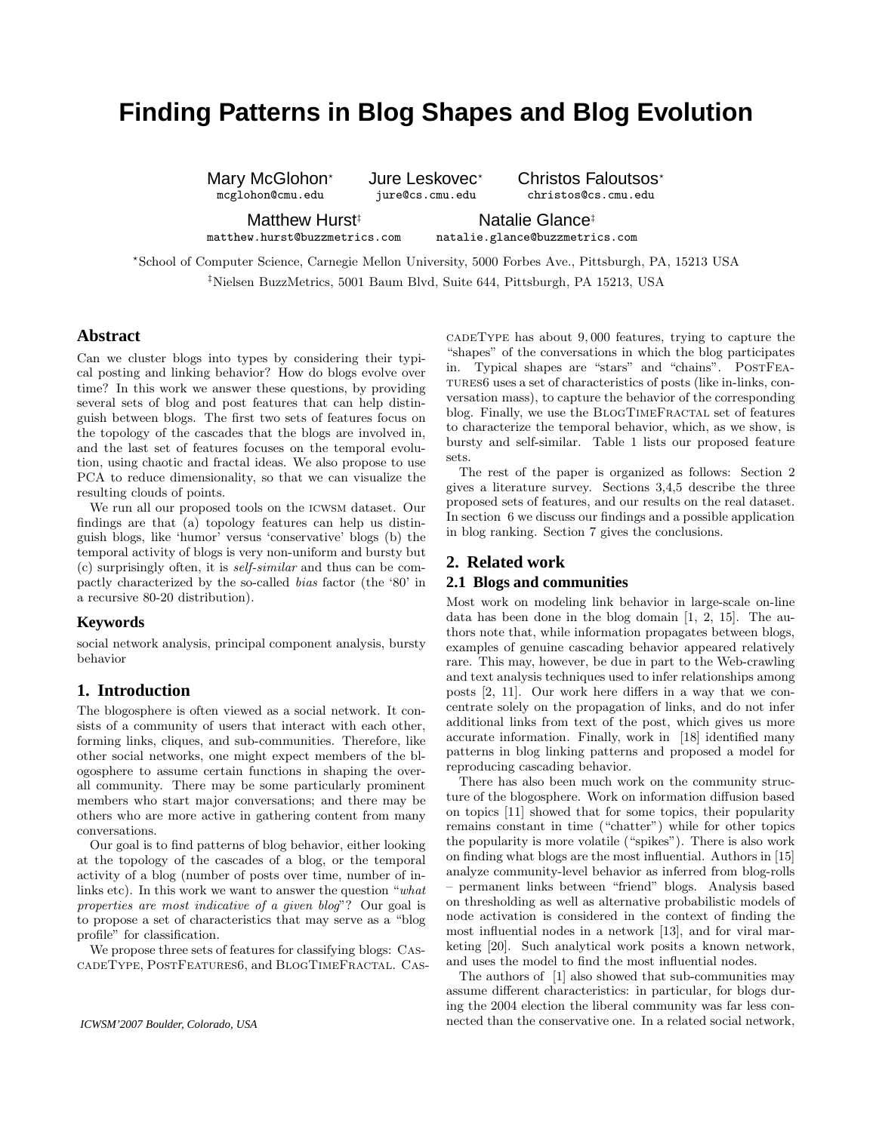# **Finding Patterns in Blog Shapes and Blog Evolution**

Mary McGlohon<sup>\*</sup> Jure Leskovec<sup>\*</sup> Christos Faloutsos<sup>\*</sup> mcglohon@cmu.edu jure@cs.cmu.edu christos@cs.cmu.edu

Matthew Hurst<sup>‡</sup> Natalie Glance<sup>‡</sup>

matthew.hurst@buzzmetrics.com natalie.glance@buzzmetrics.com

?School of Computer Science, Carnegie Mellon University, 5000 Forbes Ave., Pittsburgh, PA, 15213 USA ‡Nielsen BuzzMetrics, 5001 Baum Blvd, Suite 644, Pittsburgh, PA 15213, USA

## **Abstract**

Can we cluster blogs into types by considering their typical posting and linking behavior? How do blogs evolve over time? In this work we answer these questions, by providing several sets of blog and post features that can help distinguish between blogs. The first two sets of features focus on the topology of the cascades that the blogs are involved in, and the last set of features focuses on the temporal evolution, using chaotic and fractal ideas. We also propose to use PCA to reduce dimensionality, so that we can visualize the resulting clouds of points.

We run all our proposed tools on the icwsm dataset. Our findings are that (a) topology features can help us distinguish blogs, like 'humor' versus 'conservative' blogs (b) the temporal activity of blogs is very non-uniform and bursty but (c) surprisingly often, it is self-similar and thus can be compactly characterized by the so-called bias factor (the '80' in a recursive 80-20 distribution).

## **Keywords**

social network analysis, principal component analysis, bursty behavior

# **1. Introduction**

The blogosphere is often viewed as a social network. It consists of a community of users that interact with each other, forming links, cliques, and sub-communities. Therefore, like other social networks, one might expect members of the blogosphere to assume certain functions in shaping the overall community. There may be some particularly prominent members who start major conversations; and there may be others who are more active in gathering content from many conversations.

Our goal is to find patterns of blog behavior, either looking at the topology of the cascades of a blog, or the temporal activity of a blog (number of posts over time, number of inlinks etc). In this work we want to answer the question "what properties are most indicative of a given blog"? Our goal is to propose a set of characteristics that may serve as a "blog profile" for classification.

We propose three sets of features for classifying blogs: CascadeType, PostFeatures6, and BlogTimeFractal. Cas-

cadeType has about 9, 000 features, trying to capture the "shapes" of the conversations in which the blog participates in. Typical shapes are "stars" and "chains". PostFeatures6 uses a set of characteristics of posts (like in-links, conversation mass), to capture the behavior of the corresponding blog. Finally, we use the BLOGTIMEFRACTAL set of features to characterize the temporal behavior, which, as we show, is bursty and self-similar. Table 1 lists our proposed feature sets.

The rest of the paper is organized as follows: Section 2 gives a literature survey. Sections 3,4,5 describe the three proposed sets of features, and our results on the real dataset. In section 6 we discuss our findings and a possible application in blog ranking. Section 7 gives the conclusions.

# **2. Related work 2.1 Blogs and communities**

Most work on modeling link behavior in large-scale on-line data has been done in the blog domain [1, 2, 15]. The authors note that, while information propagates between blogs, examples of genuine cascading behavior appeared relatively rare. This may, however, be due in part to the Web-crawling and text analysis techniques used to infer relationships among posts [2, 11]. Our work here differs in a way that we concentrate solely on the propagation of links, and do not infer additional links from text of the post, which gives us more accurate information. Finally, work in [18] identified many patterns in blog linking patterns and proposed a model for reproducing cascading behavior.

There has also been much work on the community structure of the blogosphere. Work on information diffusion based on topics [11] showed that for some topics, their popularity remains constant in time ("chatter") while for other topics the popularity is more volatile ("spikes"). There is also work on finding what blogs are the most influential. Authors in [15] analyze community-level behavior as inferred from blog-rolls – permanent links between "friend" blogs. Analysis based on thresholding as well as alternative probabilistic models of node activation is considered in the context of finding the most influential nodes in a network [13], and for viral marketing [20]. Such analytical work posits a known network, and uses the model to find the most influential nodes.

The authors of [1] also showed that sub-communities may assume different characteristics: in particular, for blogs during the 2004 election the liberal community was far less connected than the conservative one. In a related social network,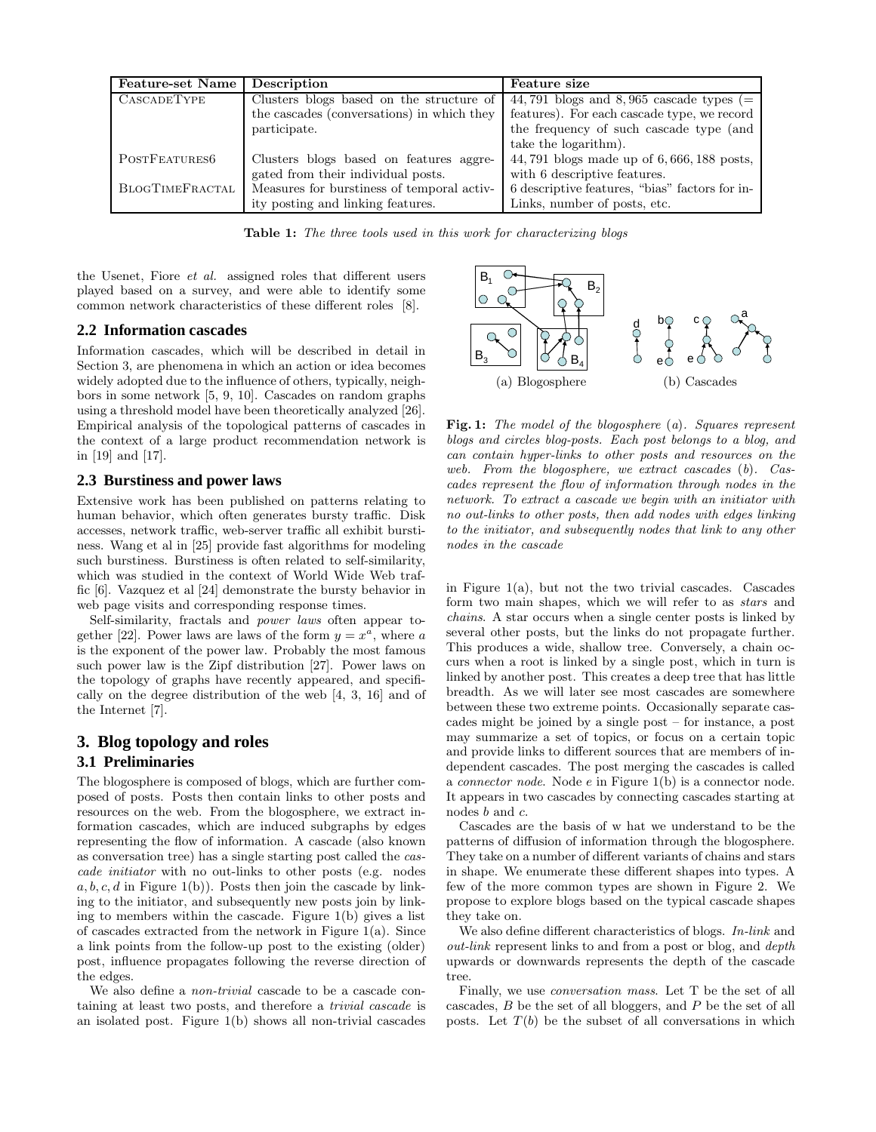| Feature-set Name   | Description                                | Feature size                                   |
|--------------------|--------------------------------------------|------------------------------------------------|
| <b>CASCADETYPE</b> | Clusters blogs based on the structure of   | 44,791 blogs and 8,965 cascade types $(=$      |
|                    | the cascades (conversations) in which they | features). For each cascade type, we record    |
|                    | participate.                               | the frequency of such cascade type (and        |
|                    |                                            | take the logarithm.                            |
| POSTFEATURES6      | Clusters blogs based on features aggre-    | 44, 791 blogs made up of 6, 666, 188 posts,    |
|                    | gated from their individual posts.         | with 6 descriptive features.                   |
| BLOGTIMEFRACTAL    | Measures for burstiness of temporal activ- | 6 descriptive features, "bias" factors for in- |
|                    | ity posting and linking features.          | Links, number of posts, etc.                   |

Table 1: The three tools used in this work for characterizing blogs

the Usenet, Fiore et al. assigned roles that different users played based on a survey, and were able to identify some common network characteristics of these different roles [8].

## **2.2 Information cascades**

Information cascades, which will be described in detail in Section 3, are phenomena in which an action or idea becomes widely adopted due to the influence of others, typically, neighbors in some network [5, 9, 10]. Cascades on random graphs using a threshold model have been theoretically analyzed [26]. Empirical analysis of the topological patterns of cascades in the context of a large product recommendation network is in [19] and [17].

#### **2.3 Burstiness and power laws**

Extensive work has been published on patterns relating to human behavior, which often generates bursty traffic. Disk accesses, network traffic, web-server traffic all exhibit burstiness. Wang et al in [25] provide fast algorithms for modeling such burstiness. Burstiness is often related to self-similarity, which was studied in the context of World Wide Web traffic [6]. Vazquez et al [24] demonstrate the bursty behavior in web page visits and corresponding response times.

Self-similarity, fractals and power laws often appear together [22]. Power laws are laws of the form  $y = x^a$ , where a is the exponent of the power law. Probably the most famous such power law is the Zipf distribution [27]. Power laws on the topology of graphs have recently appeared, and specifically on the degree distribution of the web [4, 3, 16] and of the Internet [7].

# **3. Blog topology and roles 3.1 Preliminaries**

The blogosphere is composed of blogs, which are further composed of posts. Posts then contain links to other posts and resources on the web. From the blogosphere, we extract information cascades, which are induced subgraphs by edges representing the flow of information. A cascade (also known as conversation tree) has a single starting post called the cascade initiator with no out-links to other posts (e.g. nodes  $a, b, c, d$  in Figure 1(b)). Posts then join the cascade by linking to the initiator, and subsequently new posts join by linking to members within the cascade. Figure 1(b) gives a list of cascades extracted from the network in Figure 1(a). Since a link points from the follow-up post to the existing (older) post, influence propagates following the reverse direction of the edges.

We also define a *non-trivial* cascade to be a cascade containing at least two posts, and therefore a trivial cascade is an isolated post. Figure 1(b) shows all non-trivial cascades



Fig. 1: The model of the blogosphere (a). Squares represent blogs and circles blog-posts. Each post belongs to a blog, and can contain hyper-links to other posts and resources on the web. From the blogosphere, we extract cascades (b). Cascades represent the flow of information through nodes in the network. To extract a cascade we begin with an initiator with no out-links to other posts, then add nodes with edges linking to the initiator, and subsequently nodes that link to any other nodes in the cascade

in Figure 1(a), but not the two trivial cascades. Cascades form two main shapes, which we will refer to as *stars* and chains. A star occurs when a single center posts is linked by several other posts, but the links do not propagate further. This produces a wide, shallow tree. Conversely, a chain occurs when a root is linked by a single post, which in turn is linked by another post. This creates a deep tree that has little breadth. As we will later see most cascades are somewhere between these two extreme points. Occasionally separate cascades might be joined by a single post – for instance, a post may summarize a set of topics, or focus on a certain topic and provide links to different sources that are members of independent cascades. The post merging the cascades is called a connector node. Node e in Figure 1(b) is a connector node. It appears in two cascades by connecting cascades starting at nodes b and c.

Cascades are the basis of w hat we understand to be the patterns of diffusion of information through the blogosphere. They take on a number of different variants of chains and stars in shape. We enumerate these different shapes into types. A few of the more common types are shown in Figure 2. We propose to explore blogs based on the typical cascade shapes they take on.

We also define different characteristics of blogs. *In-link* and out-link represent links to and from a post or blog, and depth upwards or downwards represents the depth of the cascade tree.

Finally, we use conversation mass. Let T be the set of all cascades,  $B$  be the set of all bloggers, and  $P$  be the set of all posts. Let  $T(b)$  be the subset of all conversations in which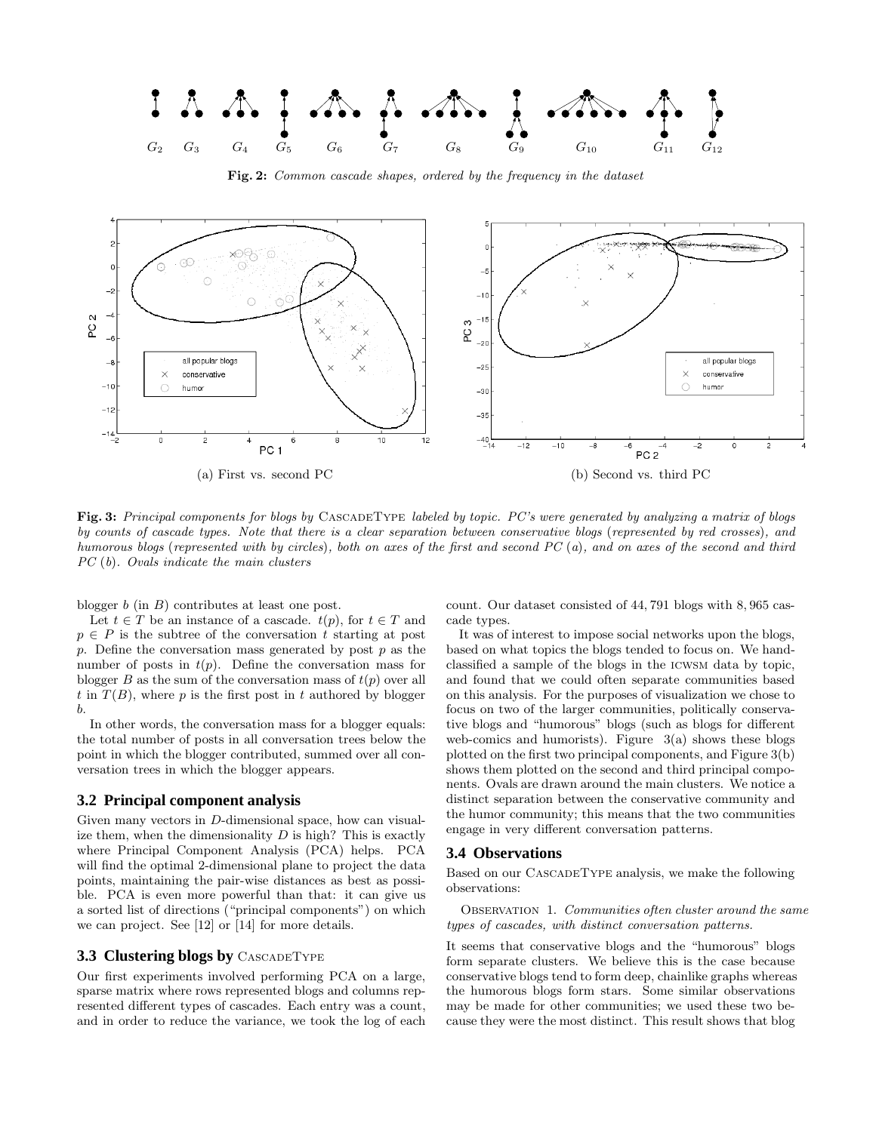

Fig. 2: Common cascade shapes, ordered by the frequency in the dataset



Fig. 3: Principal components for blogs by CASCADETYPE labeled by topic. PC's were generated by analyzing a matrix of blogs by counts of cascade types. Note that there is a clear separation between conservative blogs (represented by red crosses), and humorous blogs (represented with by circles), both on axes of the first and second PC (a), and on axes of the second and third

blogger  $b$  (in  $B$ ) contributes at least one post.

PC (b). Ovals indicate the main clusters

Let  $t \in T$  be an instance of a cascade.  $t(p)$ , for  $t \in T$  and  $p \in P$  is the subtree of the conversation t starting at post  $p.$  Define the conversation mass generated by post  $p$  as the number of posts in  $t(p)$ . Define the conversation mass for blogger B as the sum of the conversation mass of  $t(p)$  over all t in  $T(B)$ , where p is the first post in t authored by blogger b.

In other words, the conversation mass for a blogger equals: the total number of posts in all conversation trees below the point in which the blogger contributed, summed over all conversation trees in which the blogger appears.

## **3.2 Principal component analysis**

Given many vectors in D-dimensional space, how can visualize them, when the dimensionality  $D$  is high? This is exactly where Principal Component Analysis (PCA) helps. PCA will find the optimal 2-dimensional plane to project the data points, maintaining the pair-wise distances as best as possible. PCA is even more powerful than that: it can give us a sorted list of directions ("principal components") on which we can project. See [12] or [14] for more details.

### **3.3 Clustering blogs by** CASCADETYPE

Our first experiments involved performing PCA on a large, sparse matrix where rows represented blogs and columns represented different types of cascades. Each entry was a count, and in order to reduce the variance, we took the log of each

count. Our dataset consisted of 44, 791 blogs with 8, 965 cascade types.

It was of interest to impose social networks upon the blogs, based on what topics the blogs tended to focus on. We handclassified a sample of the blogs in the icwsm data by topic, and found that we could often separate communities based on this analysis. For the purposes of visualization we chose to focus on two of the larger communities, politically conservative blogs and "humorous" blogs (such as blogs for different web-comics and humorists). Figure  $3(a)$  shows these blogs plotted on the first two principal components, and Figure 3(b) shows them plotted on the second and third principal components. Ovals are drawn around the main clusters. We notice a distinct separation between the conservative community and the humor community; this means that the two communities engage in very different conversation patterns.

#### **3.4 Observations**

Based on our CascadeType analysis, we make the following observations:

OBSERVATION 1. Communities often cluster around the same types of cascades, with distinct conversation patterns.

It seems that conservative blogs and the "humorous" blogs form separate clusters. We believe this is the case because conservative blogs tend to form deep, chainlike graphs whereas the humorous blogs form stars. Some similar observations may be made for other communities; we used these two because they were the most distinct. This result shows that blog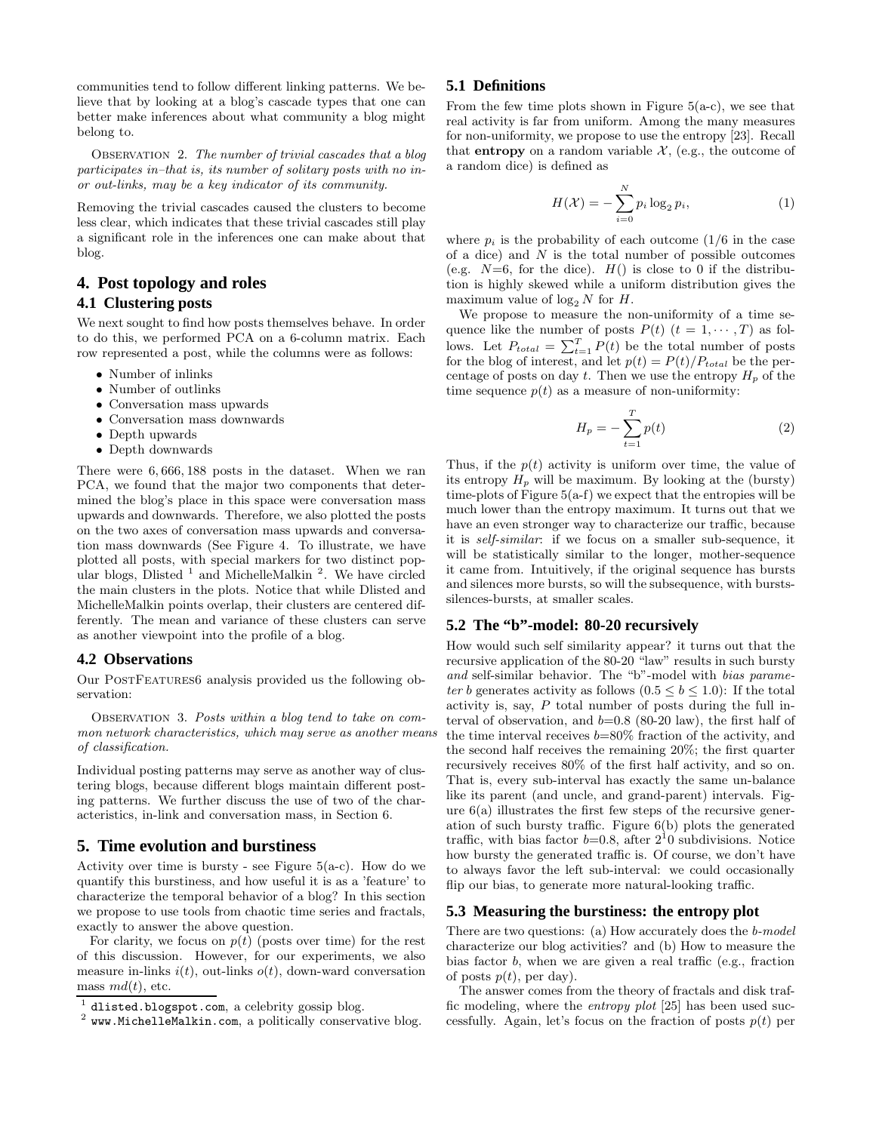communities tend to follow different linking patterns. We believe that by looking at a blog's cascade types that one can better make inferences about what community a blog might belong to.

Observation 2. The number of trivial cascades that a blog participates in–that is, its number of solitary posts with no inor out-links, may be a key indicator of its community.

Removing the trivial cascades caused the clusters to become less clear, which indicates that these trivial cascades still play a significant role in the inferences one can make about that blog.

# **4. Post topology and roles 4.1 Clustering posts**

We next sought to find how posts themselves behave. In order to do this, we performed PCA on a 6-column matrix. Each row represented a post, while the columns were as follows:

- Number of inlinks
- Number of outlinks
- Conversation mass upwards
- Conversation mass downwards
- Depth upwards
- Depth downwards

There were 6, 666, 188 posts in the dataset. When we ran PCA, we found that the major two components that determined the blog's place in this space were conversation mass upwards and downwards. Therefore, we also plotted the posts on the two axes of conversation mass upwards and conversation mass downwards (See Figure 4. To illustrate, we have plotted all posts, with special markers for two distinct popular blogs, Dlisted  $^1$  and MichelleMalkin  $^2$ . We have circled the main clusters in the plots. Notice that while Dlisted and MichelleMalkin points overlap, their clusters are centered differently. The mean and variance of these clusters can serve as another viewpoint into the profile of a blog.

#### **4.2 Observations**

Our PostFeatures6 analysis provided us the following observation:

OBSERVATION 3. Posts within a blog tend to take on common network characteristics, which may serve as another means of classification.

Individual posting patterns may serve as another way of clustering blogs, because different blogs maintain different posting patterns. We further discuss the use of two of the characteristics, in-link and conversation mass, in Section 6.

## **5. Time evolution and burstiness**

Activity over time is bursty - see Figure  $5(a-c)$ . How do we quantify this burstiness, and how useful it is as a 'feature' to characterize the temporal behavior of a blog? In this section we propose to use tools from chaotic time series and fractals, exactly to answer the above question.

For clarity, we focus on  $p(t)$  (posts over time) for the rest of this discussion. However, for our experiments, we also measure in-links  $i(t)$ , out-links  $o(t)$ , down-ward conversation mass  $md(t)$ , etc.

#### **5.1 Definitions**

From the few time plots shown in Figure  $5(a-c)$ , we see that real activity is far from uniform. Among the many measures for non-uniformity, we propose to use the entropy [23]. Recall that **entropy** on a random variable  $\mathcal{X}$ , (e.g., the outcome of a random dice) is defined as

$$
H(\mathcal{X}) = -\sum_{i=0}^{N} p_i \log_2 p_i,
$$
\n(1)

where  $p_i$  is the probability of each outcome (1/6 in the case of a dice) and  $N$  is the total number of possible outcomes (e.g.  $N=6$ , for the dice).  $H()$  is close to 0 if the distribution is highly skewed while a uniform distribution gives the maximum value of  $\log_2 N$  for H.

We propose to measure the non-uniformity of a time sequence like the number of posts  $P(t)$   $(t = 1, \dots, T)$  as follows. Let  $P_{total} = \sum_{t=1}^{T} P(t)$  be the total number of posts for the blog of interest, and let  $p(t) = P(t)/P_{total}$  be the percentage of posts on day t. Then we use the entropy  $H_p$  of the time sequence  $p(t)$  as a measure of non-uniformity:

$$
H_p = -\sum_{t=1}^{T} p(t)
$$
 (2)

Thus, if the  $p(t)$  activity is uniform over time, the value of its entropy  $H_p$  will be maximum. By looking at the (bursty) time-plots of Figure  $5(a-f)$  we expect that the entropies will be much lower than the entropy maximum. It turns out that we have an even stronger way to characterize our traffic, because it is self-similar: if we focus on a smaller sub-sequence, it will be statistically similar to the longer, mother-sequence it came from. Intuitively, if the original sequence has bursts and silences more bursts, so will the subsequence, with burstssilences-bursts, at smaller scales.

#### **5.2 The "b"-model: 80-20 recursively**

How would such self similarity appear? it turns out that the recursive application of the 80-20 "law" results in such bursty and self-similar behavior. The "b"-model with bias parameter b generates activity as follows  $(0.5 \le b \le 1.0)$ : If the total activity is, say,  $P$  total number of posts during the full interval of observation, and  $b=0.8$  (80-20 law), the first half of the time interval receives  $b=80\%$  fraction of the activity, and the second half receives the remaining 20%; the first quarter recursively receives 80% of the first half activity, and so on. That is, every sub-interval has exactly the same un-balance like its parent (and uncle, and grand-parent) intervals. Figure  $6(a)$  illustrates the first few steps of the recursive generation of such bursty traffic. Figure 6(b) plots the generated traffic, with bias factor  $b=0.8$ , after  $2^10$  subdivisions. Notice how bursty the generated traffic is. Of course, we don't have to always favor the left sub-interval: we could occasionally flip our bias, to generate more natural-looking traffic.

#### **5.3 Measuring the burstiness: the entropy plot**

There are two questions: (a) How accurately does the *b*-model characterize our blog activities? and (b) How to measure the bias factor b, when we are given a real traffic (e.g., fraction of posts  $p(t)$ , per day).

The answer comes from the theory of fractals and disk traffic modeling, where the entropy plot [25] has been used successfully. Again, let's focus on the fraction of posts  $p(t)$  per

<sup>1</sup> dlisted.blogspot.com, a celebrity gossip blog.

<sup>2</sup> www.MichelleMalkin.com, a politically conservative blog.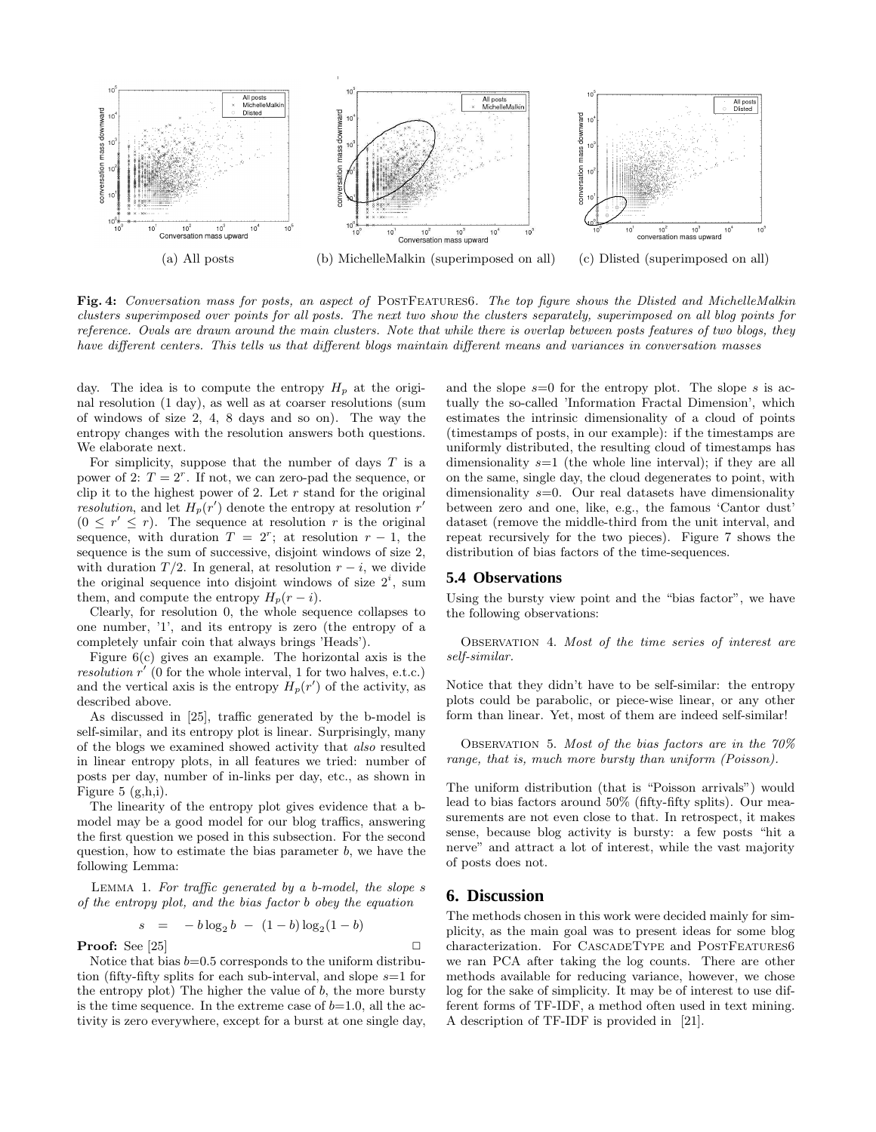

Fig. 4: Conversation mass for posts, an aspect of POSTFEATURES6. The top figure shows the Dlisted and MichelleMalkin clusters superimposed over points for all posts. The next two show the clusters separately, superimposed on all blog points for reference. Ovals are drawn around the main clusters. Note that while there is overlap between posts features of two blogs, they have different centers. This tells us that different blogs maintain different means and variances in conversation masses

day. The idea is to compute the entropy  $H_p$  at the original resolution (1 day), as well as at coarser resolutions (sum of windows of size 2, 4, 8 days and so on). The way the entropy changes with the resolution answers both questions. We elaborate next.

For simplicity, suppose that the number of days  $T$  is a power of 2:  $T = 2^r$ . If not, we can zero-pad the sequence, or clip it to the highest power of 2. Let  $r$  stand for the original resolution, and let  $H_p(r')$  denote the entropy at resolution r'  $(0 \leq r' \leq r)$ . The sequence at resolution r is the original sequence, with duration  $T = 2^r$ ; at resolution  $r - 1$ , the sequence is the sum of successive, disjoint windows of size 2, with duration  $T/2$ . In general, at resolution  $r - i$ , we divide the original sequence into disjoint windows of size  $2^i$ , sum them, and compute the entropy  $H_p(r-i)$ .

Clearly, for resolution 0, the whole sequence collapses to one number, '1', and its entropy is zero (the entropy of a completely unfair coin that always brings 'Heads').

Figure 6(c) gives an example. The horizontal axis is the resolution  $r'$  (0 for the whole interval, 1 for two halves, e.t.c.) and the vertical axis is the entropy  $H_p(r')$  of the activity, as described above.

As discussed in [25], traffic generated by the b-model is self-similar, and its entropy plot is linear. Surprisingly, many of the blogs we examined showed activity that also resulted in linear entropy plots, in all features we tried: number of posts per day, number of in-links per day, etc., as shown in Figure 5 (g,h,i).

The linearity of the entropy plot gives evidence that a bmodel may be a good model for our blog traffics, answering the first question we posed in this subsection. For the second question, how to estimate the bias parameter  $b$ , we have the following Lemma:

Lemma 1. For traffic generated by a b-model, the slope s of the entropy plot, and the bias factor b obey the equation

$$
s = -b \log_2 b - (1 - b) \log_2 (1 - b)
$$

**Proof:** See [25]  $\Box$ 

Notice that bias  $b=0.5$  corresponds to the uniform distribution (fifty-fifty splits for each sub-interval, and slope  $s=1$  for the entropy plot) The higher the value of  $b$ , the more bursty is the time sequence. In the extreme case of  $b=1.0$ , all the activity is zero everywhere, except for a burst at one single day, and the slope  $s=0$  for the entropy plot. The slope s is actually the so-called 'Information Fractal Dimension', which estimates the intrinsic dimensionality of a cloud of points (timestamps of posts, in our example): if the timestamps are uniformly distributed, the resulting cloud of timestamps has dimensionality  $s=1$  (the whole line interval); if they are all on the same, single day, the cloud degenerates to point, with dimensionality  $s=0$ . Our real datasets have dimensionality between zero and one, like, e.g., the famous 'Cantor dust' dataset (remove the middle-third from the unit interval, and repeat recursively for the two pieces). Figure 7 shows the distribution of bias factors of the time-sequences.

#### **5.4 Observations**

Using the bursty view point and the "bias factor", we have the following observations:

Observation 4. Most of the time series of interest are self-similar.

Notice that they didn't have to be self-similar: the entropy plots could be parabolic, or piece-wise linear, or any other form than linear. Yet, most of them are indeed self-similar!

OBSERVATION 5. Most of the bias factors are in the  $70\%$ range, that is, much more bursty than uniform (Poisson).

The uniform distribution (that is "Poisson arrivals") would lead to bias factors around 50% (fifty-fifty splits). Our measurements are not even close to that. In retrospect, it makes sense, because blog activity is bursty: a few posts "hit a nerve" and attract a lot of interest, while the vast majority of posts does not.

## **6. Discussion**

The methods chosen in this work were decided mainly for simplicity, as the main goal was to present ideas for some blog characterization. For CascadeType and PostFeatures6 we ran PCA after taking the log counts. There are other methods available for reducing variance, however, we chose log for the sake of simplicity. It may be of interest to use different forms of TF-IDF, a method often used in text mining. A description of TF-IDF is provided in [21].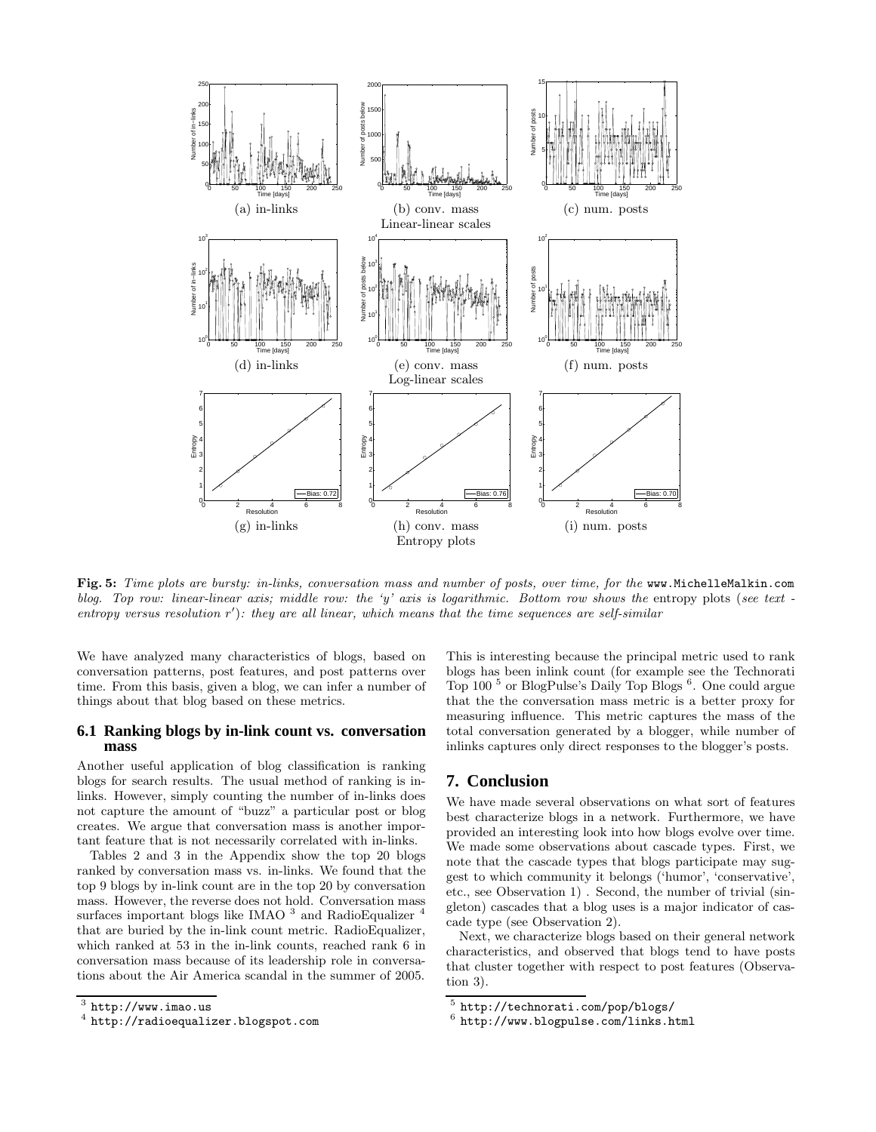

Fig. 5: Time plots are bursty: in-links, conversation mass and number of posts, over time, for the www.MichelleMalkin.com blog. Top row: linear-linear axis; middle row: the 'y' axis is logarithmic. Bottom row shows the entropy plots (see text entropy versus resolution  $r'$ ): they are all linear, which means that the time sequences are self-similar

We have analyzed many characteristics of blogs, based on conversation patterns, post features, and post patterns over time. From this basis, given a blog, we can infer a number of things about that blog based on these metrics.

#### **6.1 Ranking blogs by in-link count vs. conversation mass**

Another useful application of blog classification is ranking blogs for search results. The usual method of ranking is inlinks. However, simply counting the number of in-links does not capture the amount of "buzz" a particular post or blog creates. We argue that conversation mass is another important feature that is not necessarily correlated with in-links.

Tables 2 and 3 in the Appendix show the top 20 blogs ranked by conversation mass vs. in-links. We found that the top 9 blogs by in-link count are in the top 20 by conversation mass. However, the reverse does not hold. Conversation mass surfaces important blogs like IMAO  $^3$  and RadioEqualizer  $^4$ that are buried by the in-link count metric. RadioEqualizer, which ranked at 53 in the in-link counts, reached rank 6 in conversation mass because of its leadership role in conversations about the Air America scandal in the summer of 2005.

This is interesting because the principal metric used to rank blogs has been inlink count (for example see the Technorati Top 100 <sup>5</sup> or BlogPulse's Daily Top Blogs <sup>6</sup> . One could argue that the the conversation mass metric is a better proxy for measuring influence. This metric captures the mass of the total conversation generated by a blogger, while number of inlinks captures only direct responses to the blogger's posts.

# **7. Conclusion**

We have made several observations on what sort of features best characterize blogs in a network. Furthermore, we have provided an interesting look into how blogs evolve over time. We made some observations about cascade types. First, we note that the cascade types that blogs participate may suggest to which community it belongs ('humor', 'conservative', etc., see Observation 1) . Second, the number of trivial (singleton) cascades that a blog uses is a major indicator of cascade type (see Observation 2).

Next, we characterize blogs based on their general network characteristics, and observed that blogs tend to have posts that cluster together with respect to post features (Observation 3).

 $^3$  http://www.imao.us

<sup>4</sup> http://radioequalizer.blogspot.com

<sup>5</sup> http://technorati.com/pop/blogs/

<sup>6</sup> http://www.blogpulse.com/links.html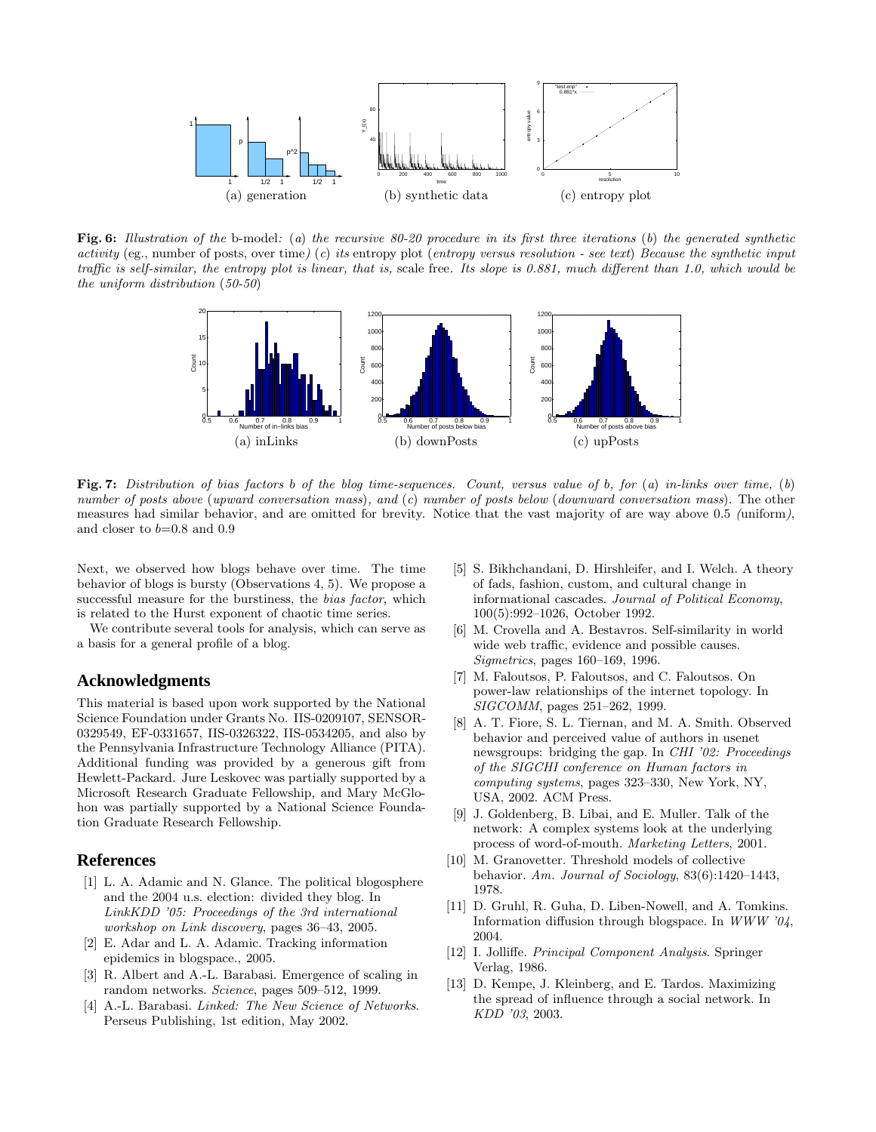

Fig. 6: Illustration of the b-model: (a) the recursive  $80-20$  procedure in its first three iterations (b) the generated synthetic activity (eg., number of posts, over time) (c) its entropy plot (entropy versus resolution - see text) Because the synthetic input traffic is self-similar, the entropy plot is linear, that is, scale free. Its slope is 0.881, much different than 1.0, which would be the uniform distribution (50-50)



Fig. 7: Distribution of bias factors b of the blog time-sequences. Count, versus value of b, for (a) in-links over time, (b) number of posts above (upward conversation mass), and (c) number of posts below (downward conversation mass). The other measures had similar behavior, and are omitted for brevity. Notice that the vast majority of are way above 0.5 (uniform), and closer to  $b=0.8$  and  $0.9$ 

Next, we observed how blogs behave over time. The time behavior of blogs is bursty (Observations 4, 5). We propose a successful measure for the burstiness, the *bias factor*, which is related to the Hurst exponent of chaotic time series.

We contribute several tools for analysis, which can serve as a basis for a general profile of a blog.

## **Acknowledgments**

This material is based upon work supported by the National Science Foundation under Grants No. IIS-0209107, SENSOR-0329549, EF-0331657, IIS-0326322, IIS-0534205, and also by the Pennsylvania Infrastructure Technology Alliance (PITA). Additional funding was provided by a generous gift from Hewlett-Packard. Jure Leskovec was partially supported by a Microsoft Research Graduate Fellowship, and Mary McGlohon was partially supported by a National Science Foundation Graduate Research Fellowship.

## **References**

- [1] L. A. Adamic and N. Glance. The political blogosphere and the 2004 u.s. election: divided they blog. In LinkKDD '05: Proceedings of the 3rd international workshop on Link discovery, pages 36–43, 2005.
- [2] E. Adar and L. A. Adamic. Tracking information epidemics in blogspace., 2005.
- [3] R. Albert and A.-L. Barabasi. Emergence of scaling in random networks. Science, pages 509–512, 1999.
- [4] A.-L. Barabasi. *Linked: The New Science of Networks*. Perseus Publishing, 1st edition, May 2002.
- [5] S. Bikhchandani, D. Hirshleifer, and I. Welch. A theory of fads, fashion, custom, and cultural change in informational cascades. Journal of Political Economy, 100(5):992–1026, October 1992.
- [6] M. Crovella and A. Bestavros. Self-similarity in world wide web traffic, evidence and possible causes. Sigmetrics, pages 160–169, 1996.
- [7] M. Faloutsos, P. Faloutsos, and C. Faloutsos. On power-law relationships of the internet topology. In SIGCOMM, pages 251–262, 1999.
- [8] A. T. Fiore, S. L. Tiernan, and M. A. Smith. Observed behavior and perceived value of authors in usenet newsgroups: bridging the gap. In CHI '02: Proceedings of the SIGCHI conference on Human factors in computing systems, pages 323–330, New York, NY, USA, 2002. ACM Press.
- [9] J. Goldenberg, B. Libai, and E. Muller. Talk of the network: A complex systems look at the underlying process of word-of-mouth. Marketing Letters, 2001.
- [10] M. Granovetter. Threshold models of collective behavior. Am. Journal of Sociology, 83(6):1420–1443, 1978.
- [11] D. Gruhl, R. Guha, D. Liben-Nowell, and A. Tomkins. Information diffusion through blogspace. In  $WWW$  '04, 2004.
- [12] I. Jolliffe. Principal Component Analysis. Springer Verlag, 1986.
- [13] D. Kempe, J. Kleinberg, and E. Tardos. Maximizing the spread of influence through a social network. In KDD '03, 2003.